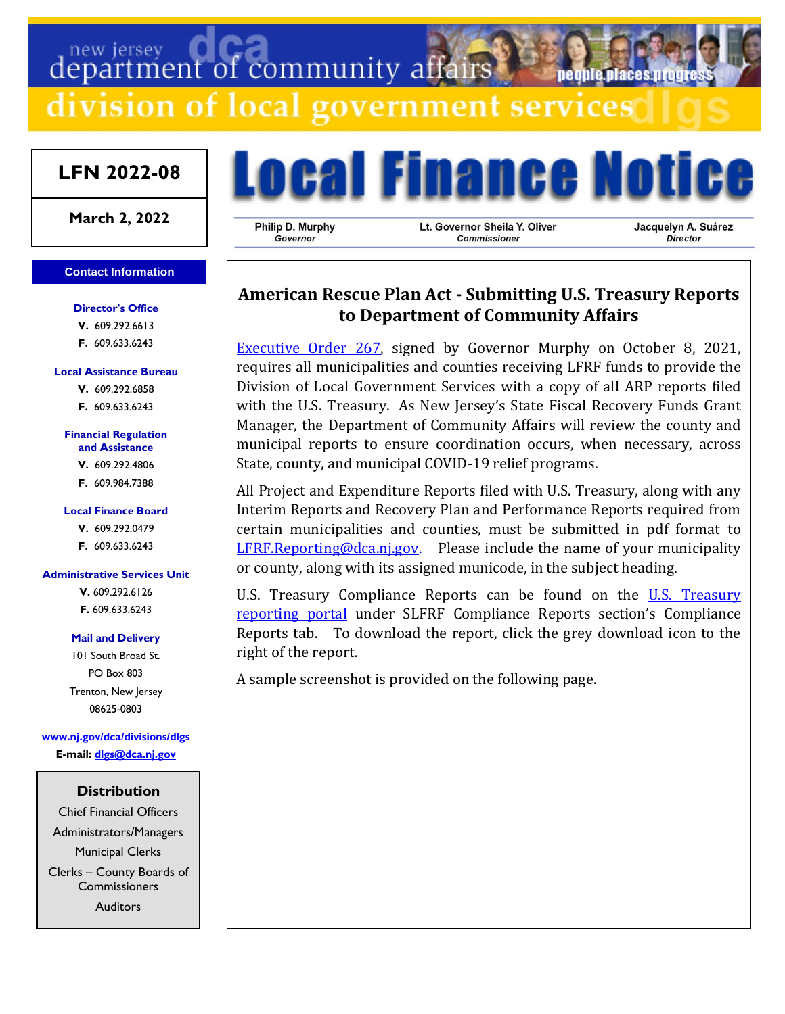# department of community affairs

division of local government services

## **LFN 2022-08**

**March 2, 2022**

#### **Contact Information**

**Director's Office V.** 609.292.6613 **F.** 609.633.6243

#### **Local Assistance Bureau**

**V.** 609.292.6858 **F.** 609.633.6243

## **Financial Regulation**

**and Assistance**

- **V.** 609.292.4806
- **F.** 609.984.7388

#### **Local Finance Board**

**V.** 609.292.0479

**F.** 609.633.6243

#### **Administrative Services Unit**

**V.** 609.292.6126 **F.** 609.633.6243

#### **Mail and Delivery**

101 South Broad St. PO Box 803 Trenton, New Jersey 08625-0803

**[www.nj.gov/dca/divisions/dlgs](http://www.nj.gov/dca/divisions/dlgs) E-mail: [dlgs@dca.nj.gov](mailto:dlgs@dca.nj.gov)**

## **Distribution**

Chief Financial Officers Administrators/Managers Municipal Clerks Clerks – County Boards of Commissioners Auditors



Philip D. Murphy Governor

Lt. Governor Sheila Y. Oliver Commissioner

Jacquelyn A. Suárez Director

# **American Rescue Plan Act - Submitting U.S. Treasury Reports to Department of Community Affairs**

[Executive Order 267,](https://nj.gov/infobank/eo/056murphy/pdf/EO-267.pdf) signed by Governor Murphy on October 8, 2021, requires all municipalities and counties receiving LFRF funds to provide the Division of Local Government Services with a copy of all ARP reports filed with the U.S. Treasury. As New Jersey's State Fiscal Recovery Funds Grant Manager, the Department of Community Affairs will review the county and municipal reports to ensure coordination occurs, when necessary, across State, county, and municipal COVID-19 relief programs.

All Project and Expenditure Reports filed with U.S. Treasury, along with any Interim Reports and Recovery Plan and Performance Reports required from certain municipalities and counties, must be submitted in pdf format to [LFRF.Reporting@dca.nj.gov](mailto:LFRF.Reporting@dca.nj.gov). Please include the name of your municipality or county, along with its assigned municode, in the subject heading.

[U.S. Treasury](https://home.treasury.gov/policy-issues/coronavirus/assistance-for-state-local-and-tribal-governments/state-and-local-fiscal-recovery-funds/recipient-compliance-and-reporting-responsibilities) Compliance Reports can be found on the U.S. Treasury [reporting portal](https://home.treasury.gov/policy-issues/coronavirus/assistance-for-state-local-and-tribal-governments/state-and-local-fiscal-recovery-funds/recipient-compliance-and-reporting-responsibilities) under SLFRF Compliance Reports section's Compliance Reports tab. To download the report, click the grey download icon to the right of the report.

A sample screenshot is provided on the following page.